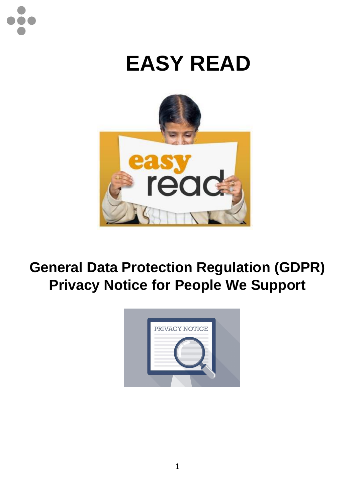## **EASY READ**



## **General Data Protection Regulation (GDPR) Privacy Notice for People We Support**

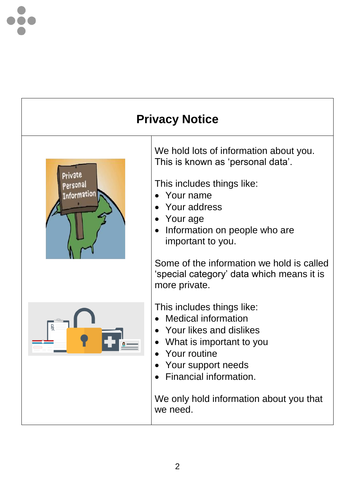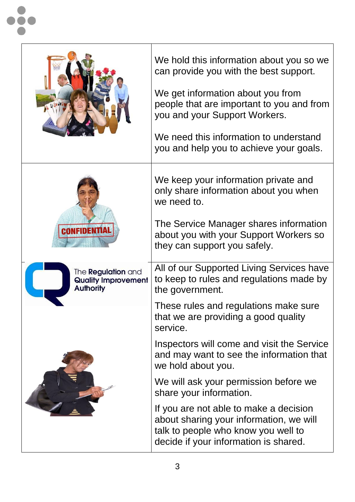|                                                                      | We hold this information about you so we<br>can provide you with the best support.<br>We get information about you from<br>people that are important to you and from<br>you and your Support Workers.<br>We need this information to understand<br>you and help you to achieve your goals. |  |
|----------------------------------------------------------------------|--------------------------------------------------------------------------------------------------------------------------------------------------------------------------------------------------------------------------------------------------------------------------------------------|--|
| VFIDENTIA                                                            | We keep your information private and<br>only share information about you when<br>we need to.<br>The Service Manager shares information<br>about you with your Support Workers so<br>they can support you safely.                                                                           |  |
| The Regulation and<br><b>Quality Improvement</b><br><b>Authority</b> | All of our Supported Living Services have<br>to keep to rules and regulations made by<br>the government.                                                                                                                                                                                   |  |
|                                                                      | These rules and regulations make sure<br>that we are providing a good quality<br>service.                                                                                                                                                                                                  |  |
|                                                                      | Inspectors will come and visit the Service<br>and may want to see the information that<br>we hold about you.                                                                                                                                                                               |  |
|                                                                      | We will ask your permission before we<br>share your information.                                                                                                                                                                                                                           |  |
|                                                                      | If you are not able to make a decision<br>about sharing your information, we will<br>talk to people who know you well to<br>decide if your information is shared.                                                                                                                          |  |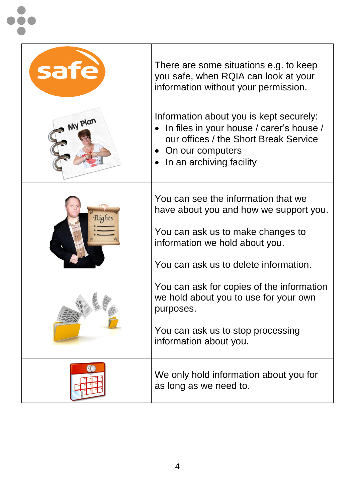| safe    | There are some situations e.g. to keep<br>you safe, when RQIA can look at your<br>information without your permission.                                                                                                                                                                           |  |
|---------|--------------------------------------------------------------------------------------------------------------------------------------------------------------------------------------------------------------------------------------------------------------------------------------------------|--|
| My Plan | Information about you is kept securely:<br>In files in your house / carer's house /<br>our offices / the Short Break Service<br>On our computers<br>$\bullet$<br>In an archiving facility                                                                                                        |  |
| Right   | You can see the information that we<br>have about you and how we support you.<br>You can ask us to make changes to<br>information we hold about you.<br>You can ask us to delete information.<br>You can ask for copies of the information<br>we hold about you to use for your own<br>purposes. |  |
|         | You can ask us to stop processing<br>information about you.                                                                                                                                                                                                                                      |  |
|         | We only hold information about you for<br>as long as we need to.                                                                                                                                                                                                                                 |  |